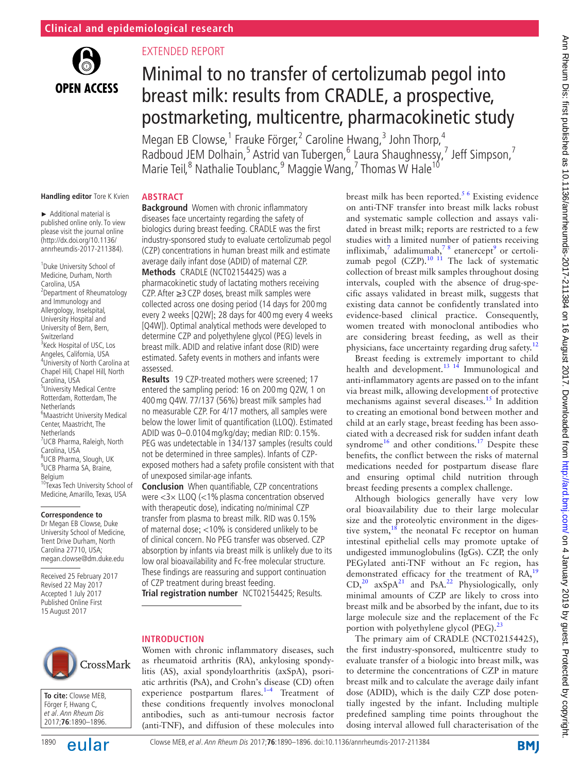

## Extended report

**Abstract**

# Minimal to no transfer of certolizumab pegol into breast milk: results from CRADLE, a prospective, postmarketing, multicentre, pharmacokinetic study

Megan EB Clowse,<sup>1</sup> Frauke Förger,<sup>2</sup> Caroline Hwang,<sup>3</sup> John Thorp,<sup>4</sup> Radboud JEM Dolhain,<sup>5</sup> Astrid van Tubergen,<sup>6</sup> Laura Shaughnessy,<sup>7</sup> Jeff Simpson,<sup>7</sup> Marie Teil,<sup>8</sup> Nathalie Toublanc,<sup>9</sup> Maggie Wang,<sup>7</sup> Thomas W Hale<sup>10</sup>

#### **Handling editor** Tore K Kvien

► Additional material is published online only. To view please visit the journal online (http://dx.doi.org/10.1136/ annrheumdis-2017-211384).

<sup>1</sup> Duke University School of Medicine, Durham, North Carolina, USA 2 Department of Rheumatology and Immunology and Allergology, Inselspital, University Hospital and University of Bern, Bern, Switzerland <sup>3</sup> Keck Hospital of USC, Los Angeles, California, USA 4 University of North Carolina at Chapel Hill, Chapel Hill, North Carolina, USA 5 University Medical Centre Rotterdam, Rotterdam, The Netherlands 6 Maastricht University Medical Center, Maastricht, The Netherlands 7 UCB Pharma, Raleigh, North Carolina, USA <sup>8</sup>UCB Pharma, Slough, UK <sup>9</sup>UCB Pharma SA, Braine, Belgium <sup>10</sup>Texas Tech University School of Medicine, Amarillo, Texas, USA

#### **Correspondence to**

Dr Megan EB Clowse, Duke University School of Medicine, Trent Drive Durham, North Carolina 27710, USA; megan.clowse@dm.duke.edu

Received 25 February 2017 Revised 22 May 2017 Accepted 1 July 2017 Published Online First 15 August 2017

**Background** Women with chronic inflammatory diseases face uncertainty regarding the safety of biologics during breast feeding. CRADLE was the first industry-sponsored study to evaluate certolizumab pegol (CZP) concentrations in human breast milk and estimate average daily infant dose (ADID) of maternal CZP.

**Methods** CRADLE (NCT02154425) was a pharmacokinetic study of lactating mothers receiving CZP. After ≥3CZP doses, breast milk samples were collected across one dosing period (14 days for 200mg every 2 weeks [Q2W]; 28 days for 400mg every 4 weeks [Q4W]). Optimal analytical methods were developed to determine CZP and polyethylene glycol (PEG) levels in breast milk. ADID and relative infant dose (RID) were estimated. Safety events in mothers and infants were assessed.

**Results** 19 CZP-treated mothers were screened; 17 entered the sampling period: 16 on 200mg Q2W, 1 on 400mg Q4W. 77/137 (56%) breast milk samples had no measurable CZP. For 4/17 mothers, all samples were below the lower limit of quantification (LLOQ). Estimated ADID was 0–0.0104mg/kg/day; median RID: 0.15%. PEG was undetectable in 134/137 samples (results could not be determined in three samples). Infants of CZPexposed mothers had a safety profile consistent with that of unexposed similar-age infants.

**Conclusion** When quantifiable, CZP concentrations were  $\langle 3 \times LLOQ \rangle$  ( $\langle 1\%$  plasma concentration observed with therapeutic dose), indicating no/minimal CZP transfer from plasma to breast milk. RID was 0.15% of maternal dose; <10% is considered unlikely to be of clinical concern. No PEG transfer was observed. CZP absorption by infants via breast milk is unlikely due to its low oral bioavailability and Fc-free molecular structure. These findings are reassuring and support continuation of CZP treatment during breast feeding.

**Trial registration number** NCT02154425; Results.

# CrossMark

**To cite:** Clowse MEB, Förger F, Hwang C, et al. Ann Rheum Dis 2017;**76**:1890–1896.



Women with chronic inflammatory diseases, such as rheumatoid arthritis (RA), ankylosing spondylitis (AS), axial spondyloarthritis (axSpA), psoriatic arthritis (PsA), and Crohn's disease (CD) often experience postpartum flares. $1-4$  Treatment of these conditions frequently involves monoclonal antibodies, such as anti-tumour necrosis factor (anti-TNF), and diffusion of these molecules into

breast milk has been reported.<sup>56</sup> Existing evidence on anti-TNF transfer into breast milk lacks robust and systematic sample collection and assays validated in breast milk; reports are restricted to a few studies with a limited number of patients receiving infliximab,<sup>[7](#page-5-2)</sup> adalimumab,<sup>78</sup> etanercept<sup>[9](#page-5-3)</sup> or certoli-zumab pegol (CZP).<sup>[10 11](#page-5-4)</sup> The lack of systematic collection of breast milk samples throughout dosing intervals, coupled with the absence of drug-specific assays validated in breast milk, suggests that existing data cannot be confidently translated into evidence-based clinical practice. Consequently, women treated with monoclonal antibodies who are considering breast feeding, as well as their physicians, face uncertainty regarding drug safety.<sup>[12](#page-6-0)</sup>

Breast feeding is extremely important to child health and development.<sup>13 14</sup> Immunological and anti-inflammatory agents are passed on to the infant via breast milk, allowing development of protective mechanisms against several diseases.<sup>15</sup> In addition to creating an emotional bond between mother and child at an early stage, breast feeding has been associated with a decreased risk for sudden infant death syndrome<sup>[16](#page-6-3)</sup> and other conditions.<sup>17</sup> Despite these benefits, the conflict between the risks of maternal medications needed for postpartum disease flare and ensuring optimal child nutrition through breast feeding presents a complex challenge.

Although biologics generally have very low oral bioavailability due to their large molecular size and the proteolytic environment in the digestive system, $18$  the neonatal Fc receptor on human intestinal epithelial cells may promote uptake of undigested immunoglobulins (IgGs). CZP, the only PEGylated anti-TNF without an Fc region, has demonstrated efficacy for the treatment of  $RA$ ,  $19$  $CD<sub>1</sub><sup>20</sup>$  $CD<sub>1</sub><sup>20</sup>$  $CD<sub>1</sub><sup>20</sup>$  axSpA<sup>21</sup> and PsA.<sup>[22](#page-6-9)</sup> Physiologically, only minimal amounts of CZP are likely to cross into breast milk and be absorbed by the infant, due to its large molecule size and the replacement of the Fc portion with polyethylene glycol (PEG). $^{23}$  $^{23}$  $^{23}$ 

The primary aim of CRADLE (NCT02154425), the first industry-sponsored, multicentre study to evaluate transfer of a biologic into breast milk, was to determine the concentrations of CZP in mature breast milk and to calculate the average daily infant dose (ADID), which is the daily CZP dose potentially ingested by the infant. Including multiple predefined sampling time points throughout the dosing interval allowed full characterisation of the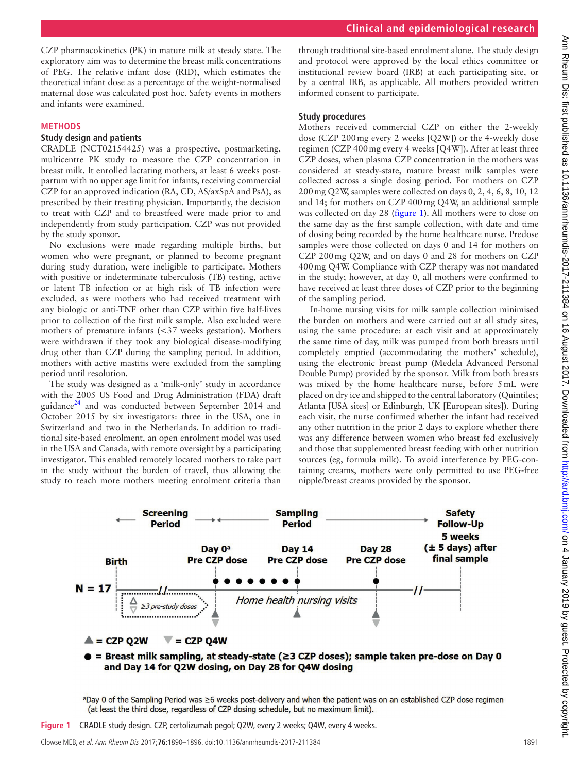CZP pharmacokinetics (PK) in mature milk at steady state. The exploratory aim was to determine the breast milk concentrations of PEG. The relative infant dose (RID), which estimates the theoretical infant dose as a percentage of the weight-normalised maternal dose was calculated post hoc. Safety events in mothers and infants were examined.

#### **Methods**

#### **Study design and patients**

CRADLE (NCT02154425) was a prospective, postmarketing, multicentre PK study to measure the CZP concentration in breast milk. It enrolled lactating mothers, at least 6 weeks postpartum with no upper age limit for infants, receiving commercial CZP for an approved indication (RA, CD, AS/axSpA and PsA), as prescribed by their treating physician. Importantly, the decision to treat with CZP and to breastfeed were made prior to and independently from study participation. CZP was not provided by the study sponsor.

No exclusions were made regarding multiple births, but women who were pregnant, or planned to become pregnant during study duration, were ineligible to participate. Mothers with positive or indeterminate tuberculosis (TB) testing, active or latent TB infection or at high risk of TB infection were excluded, as were mothers who had received treatment with any biologic or anti-TNF other than CZP within five half-lives prior to collection of the first milk sample. Also excluded were mothers of premature infants (<37 weeks gestation). Mothers were withdrawn if they took any biological disease-modifying drug other than CZP during the sampling period. In addition, mothers with active mastitis were excluded from the sampling period until resolution.

The study was designed as a 'milk-only' study in accordance with the 2005 US Food and Drug Administration (FDA) draft guidance<sup>24</sup> and was conducted between September 2014 and October 2015 by six investigators: three in the USA, one in Switzerland and two in the Netherlands. In addition to traditional site-based enrolment, an open enrolment model was used in the USA and Canada, with remote oversight by a participating investigator. This enabled remotely located mothers to take part in the study without the burden of travel, thus allowing the study to reach more mothers meeting enrolment criteria than

through traditional site-based enrolment alone. The study design and protocol were approved by the local ethics committee or institutional review board (IRB) at each participating site, or by a central IRB, as applicable. All mothers provided written informed consent to participate.

#### **Study procedures**

Mothers received commercial CZP on either the 2-weekly dose (CZP 200mg every 2 weeks [Q2W]) or the 4-weekly dose regimen (CZP 400mg every 4 weeks [Q4W]). After at least three CZP doses, when plasma CZP concentration in the mothers was considered at steady-state, mature breast milk samples were collected across a single dosing period. For mothers on CZP 200mg Q2W, samples were collected on days 0, 2, 4, 6, 8, 10, 12 and 14; for mothers on CZP 400mg Q4W, an additional sample was collected on day 28 [\(figure](#page-1-0) 1). All mothers were to dose on the same day as the first sample collection, with date and time of dosing being recorded by the home healthcare nurse. Predose samples were those collected on days 0 and 14 for mothers on CZP 200mg Q2W, and on days 0 and 28 for mothers on CZP 400mg Q4W. Compliance with CZP therapy was not mandated in the study; however, at day 0, all mothers were confirmed to have received at least three doses of CZP prior to the beginning of the sampling period.

 In-home nursing visits for milk sample collection minimised the burden on mothers and were carried out at all study sites, using the same procedure: at each visit and at approximately the same time of day, milk was pumped from both breasts until completely emptied (accommodating the mothers' schedule), using the electronic breast pump (Medela Advanced Personal Double Pump) provided by the sponsor. Milk from both breasts was mixed by the home healthcare nurse, before 5mL were placed on dry ice and shipped to the central laboratory (Quintiles; Atlanta [USA sites] or Edinburgh, UK [European sites]). During each visit, the nurse confirmed whether the infant had received any other nutrition in the prior 2 days to explore whether there was any difference between women who breast fed exclusively and those that supplemented breast feeding with other nutrition sources (eg, formula milk). To avoid interference by PEG-containing creams, mothers were only permitted to use PEG-free nipple/breast creams provided by the sponsor.



<span id="page-1-0"></span>aDay 0 of the Sampling Period was ≥6 weeks post-delivery and when the patient was on an established CZP dose regimen (at least the third dose, regardless of CZP dosing schedule, but no maximum limit).

**Figure 1** CRADLE study design. CZP, certolizumab pegol; Q2W, every 2 weeks; Q4W, every 4 weeks.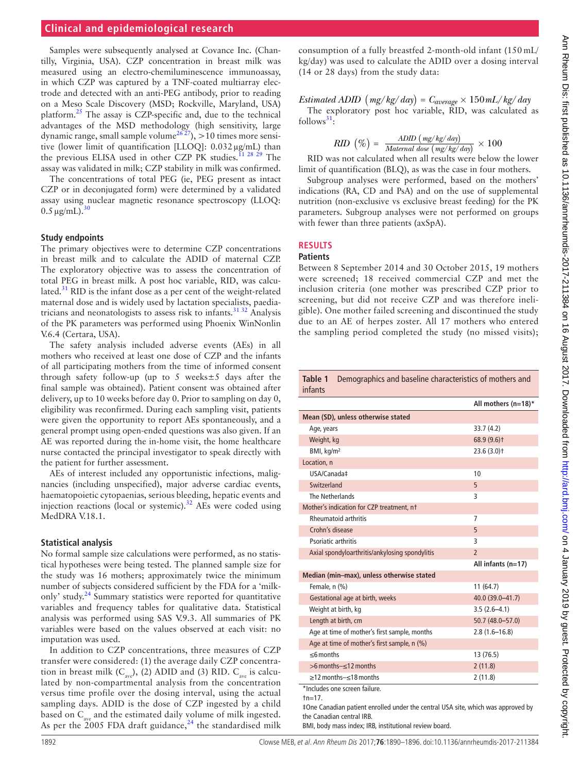#### **Clinical and epidemiological research**

Samples were subsequently analysed at Covance Inc. (Chantilly, Virginia, USA). CZP concentration in breast milk was measured using an electro-chemiluminescence immunoassay, in which CZP was captured by a TNF-coated multiarray electrode and detected with an anti-PEG antibody, prior to reading on a Meso Scale Discovery (MSD; Rockville, Maryland, USA) platform.[25](#page-6-12) The assay is CZP-specific and, due to the technical advantages of the MSD methodology (high sensitivity, large dynamic range, small sample volume<sup>2627</sup>),  $>10$  times more sensitive (lower limit of quantification [LLOQ]: 0.032µg/mL) than the previous ELISA used in other CZP PK studies.<sup>11 28 29</sup> The assay was validated in milk; CZP stability in milk was confirmed.

The concentrations of total PEG (ie, PEG present as intact CZP or in deconjugated form) were determined by a validated assay using nuclear magnetic resonance spectroscopy (LLOQ:  $0.5 \mu$ g/mL).<sup>3</sup>

#### **Study endpoints**

The primary objectives were to determine CZP concentrations in breast milk and to calculate the ADID of maternal CZP. The exploratory objective was to assess the concentration of total PEG in breast milk. A post hoc variable, RID, was calculated.<sup>31</sup> RID is the infant dose as a per cent of the weight-related maternal dose and is widely used by lactation specialists, paediatricians and neonatologists to assess risk to infants[.31 32](#page-6-15) Analysis of the PK parameters was performed using Phoenix WinNonlin V.6.4 (Certara, USA).

The safety analysis included adverse events (AEs) in all mothers who received at least one dose of CZP and the infants of all participating mothers from the time of informed consent through safety follow-up (up to 5 weeks±5 days after the final sample was obtained). Patient consent was obtained after delivery, up to 10 weeks before day 0. Prior to sampling on day 0, eligibility was reconfirmed. During each sampling visit, patients were given the opportunity to report AEs spontaneously, and a general prompt using open-ended questions was also given. If an AE was reported during the in-home visit, the home healthcare nurse contacted the principal investigator to speak directly with the patient for further assessment.

AEs of interest included any opportunistic infections, malignancies (including unspecified), major adverse cardiac events, haematopoietic cytopaenias, serious bleeding, hepatic events and injection reactions (local or systemic). $32$  AEs were coded using MedDRA V.18.1.

#### **Statistical analysis**

No formal sample size calculations were performed, as no statistical hypotheses were being tested. The planned sample size for the study was 16 mothers; approximately twice the minimum number of subjects considered sufficient by the FDA for a 'milk-only' study.<sup>[24](#page-6-11)</sup> Summary statistics were reported for quantitative variables and frequency tables for qualitative data. Statistical analysis was performed using SAS V.9.3. All summaries of PK variables were based on the values observed at each visit: no imputation was used.

In addition to CZP concentrations, three measures of CZP transfer were considered: (1) the average daily CZP concentration in breast milk  $(C_{ave})$ , (2) ADID and (3) RID.  $C_{ave}$  is calculated by non-compartmental analysis from the concentration versus time profile over the dosing interval, using the actual sampling days. ADID is the dose of CZP ingested by a child based on  $C_{\text{max}}$  and the estimated daily volume of milk ingested. As per the  $2005$  FDA draft guidance,<sup>[24](#page-6-11)</sup> the standardised milk

consumption of a fully breastfed 2-month-old infant (150 mL/ kg/day) was used to calculate the ADID over a dosing interval (14 or 28 days) from the study data:

 $Estimated ADID \left( \frac{mg}{kg}/\frac{day}{day} \right) = C_{average} \times 150 \frac{mL}{kg}/\frac{day}{day}$ The exploratory post hoc variable, RID, was calculated as  $follows<sup>31</sup>$  $follows<sup>31</sup>$  $follows<sup>31</sup>$ :

$$
RID \, (\%) = \frac{ADID \, (mg/kg/day)}{Material \, dose \, (mg/kg/day)} \times 100
$$

RID was not calculated when all results were below the lower limit of quantification (BLQ), as was the case in four mothers.

Subgroup analyses were performed, based on the mothers' indications (RA, CD and PsA) and on the use of supplemental nutrition (non-exclusive vs exclusive breast feeding) for the PK parameters. Subgroup analyses were not performed on groups with fewer than three patients (axSpA).

#### **Results**

#### **Patients**

Between 8 September 2014 and 30 October 2015, 19 mothers were screened; 18 received commercial CZP and met the inclusion criteria (one mother was prescribed CZP prior to screening, but did not receive CZP and was therefore ineligible). One mother failed screening and discontinued the study due to an AE of herpes zoster. All 17 mothers who entered the sampling period completed the study (no missed visits);

<span id="page-2-0"></span>

| Table 1<br>Demographics and baseline characteristics of mothers and<br>infants                                                                              |                      |  |  |  |
|-------------------------------------------------------------------------------------------------------------------------------------------------------------|----------------------|--|--|--|
|                                                                                                                                                             | All mothers (n=18)*  |  |  |  |
| Mean (SD), unless otherwise stated                                                                                                                          |                      |  |  |  |
| Age, years                                                                                                                                                  | 33.7 (4.2)           |  |  |  |
| Weight, kg                                                                                                                                                  | 68.9 (9.6) †         |  |  |  |
| BMI, kg/m <sup>2</sup>                                                                                                                                      | $23.6(3.0)$ t        |  |  |  |
| Location, n                                                                                                                                                 |                      |  |  |  |
| USA/Canada‡                                                                                                                                                 | 10                   |  |  |  |
| Switzerland                                                                                                                                                 | 5                    |  |  |  |
| The Netherlands                                                                                                                                             | 3                    |  |  |  |
| Mother's indication for CZP treatment, nt                                                                                                                   |                      |  |  |  |
| Rheumatoid arthritis                                                                                                                                        | 7                    |  |  |  |
| Crohn's disease                                                                                                                                             | 5                    |  |  |  |
| Psoriatic arthritis                                                                                                                                         | 3                    |  |  |  |
| Axial spondyloarthritis/ankylosing spondylitis                                                                                                              | $\overline{2}$       |  |  |  |
|                                                                                                                                                             | All infants $(n=17)$ |  |  |  |
| Median (min-max), unless otherwise stated                                                                                                                   |                      |  |  |  |
| Female, n (%)                                                                                                                                               | 11(64.7)             |  |  |  |
| Gestational age at birth, weeks                                                                                                                             | 40.0 (39.0-41.7)     |  |  |  |
| Weight at birth, kg                                                                                                                                         | $3.5(2.6-4.1)$       |  |  |  |
| Length at birth, cm                                                                                                                                         | 50.7 (48.0-57.0)     |  |  |  |
| Age at time of mother's first sample, months                                                                                                                | $2.8(1.6 - 16.8)$    |  |  |  |
| Age at time of mother's first sample, n (%)                                                                                                                 |                      |  |  |  |
| $<$ 6 months                                                                                                                                                | 13 (76.5)            |  |  |  |
| $>6$ months $-<$ 12 months                                                                                                                                  | 2(11.8)              |  |  |  |
| $\geq$ 12 months- $\leq$ 18 months                                                                                                                          | 2(11.8)              |  |  |  |
| *Includes one screen failure.<br>$tn=17$ .<br>‡One Canadian patient enrolled under the central USA site, which was approved by<br>the Canadian central IRB. |                      |  |  |  |

BMI, body mass index; IRB, institutional review board.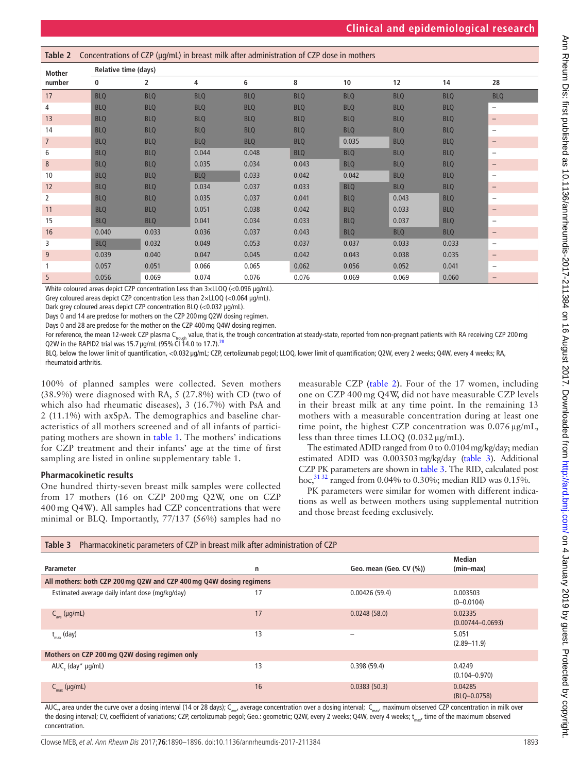<span id="page-3-0"></span>

| Table 2        |            | Concentrations of CZP (µg/mL) in breast milk after administration of CZP dose in mothers |            |            |            |            |            |            |                          |  |
|----------------|------------|------------------------------------------------------------------------------------------|------------|------------|------------|------------|------------|------------|--------------------------|--|
| <b>Mother</b>  |            | <b>Relative time (days)</b>                                                              |            |            |            |            |            |            |                          |  |
| number         | 0          | 2                                                                                        | 4          | 6          | 8          | 10         | 12         | 14         | 28                       |  |
| 17             | <b>BLQ</b> | <b>BLQ</b>                                                                               | <b>BLQ</b> | <b>BLQ</b> | <b>BLQ</b> | <b>BLQ</b> | <b>BLQ</b> | <b>BLQ</b> | <b>BLQ</b>               |  |
| 4              | <b>BLQ</b> | <b>BLQ</b>                                                                               | <b>BLQ</b> | <b>BLQ</b> | <b>BLQ</b> | <b>BLQ</b> | <b>BLQ</b> | <b>BLQ</b> | $\overline{\phantom{m}}$ |  |
| 13             | <b>BLQ</b> | <b>BLQ</b>                                                                               | <b>BLQ</b> | <b>BLQ</b> | <b>BLQ</b> | <b>BLQ</b> | <b>BLQ</b> | <b>BLQ</b> | $\overline{\phantom{m}}$ |  |
| 14             | <b>BLQ</b> | <b>BLQ</b>                                                                               | <b>BLQ</b> | <b>BLQ</b> | <b>BLQ</b> | <b>BLQ</b> | <b>BLQ</b> | <b>BLQ</b> | $\overline{\phantom{0}}$ |  |
| $\overline{7}$ | <b>BLQ</b> | <b>BLQ</b>                                                                               | <b>BLQ</b> | <b>BLQ</b> | <b>BLQ</b> | 0.035      | <b>BLQ</b> | <b>BLQ</b> | $\qquad \qquad -$        |  |
| 6              | <b>BLQ</b> | <b>BLQ</b>                                                                               | 0.044      | 0.048      | <b>BLQ</b> | <b>BLQ</b> | <b>BLQ</b> | <b>BLQ</b> | $\qquad \qquad -$        |  |
| 8              | <b>BLQ</b> | <b>BLQ</b>                                                                               | 0.035      | 0.034      | 0.043      | <b>BLQ</b> | <b>BLQ</b> | <b>BLQ</b> | $\qquad \qquad -$        |  |
| 10             | <b>BLQ</b> | <b>BLQ</b>                                                                               | <b>BLQ</b> | 0.033      | 0.042      | 0.042      | <b>BLQ</b> | <b>BLQ</b> | $\qquad \qquad -$        |  |
| 12             | <b>BLQ</b> | <b>BLQ</b>                                                                               | 0.034      | 0.037      | 0.033      | <b>BLQ</b> | <b>BLQ</b> | <b>BLQ</b> | $\qquad \qquad -$        |  |
| $\overline{2}$ | <b>BLQ</b> | <b>BLQ</b>                                                                               | 0.035      | 0.037      | 0.041      | <b>BLQ</b> | 0.043      | <b>BLQ</b> | $\overline{\phantom{0}}$ |  |
| 11             | <b>BLQ</b> | <b>BLQ</b>                                                                               | 0.051      | 0.038      | 0.042      | <b>BLQ</b> | 0.033      | <b>BLQ</b> | $\overline{\phantom{m}}$ |  |
| 15             | <b>BLQ</b> | <b>BLQ</b>                                                                               | 0.041      | 0.034      | 0.033      | <b>BLQ</b> | 0.037      | <b>BLQ</b> | $\qquad \qquad -$        |  |
| 16             | 0.040      | 0.033                                                                                    | 0.036      | 0.037      | 0.043      | <b>BLQ</b> | <b>BLQ</b> | <b>BLQ</b> | $\overline{\phantom{m}}$ |  |
| 3              | <b>BLQ</b> | 0.032                                                                                    | 0.049      | 0.053      | 0.037      | 0.037      | 0.033      | 0.033      | $\overline{\phantom{m}}$ |  |
| 9              | 0.039      | 0.040                                                                                    | 0.047      | 0.045      | 0.042      | 0.043      | 0.038      | 0.035      | $\qquad \qquad -$        |  |
| 1              | 0.057      | 0.051                                                                                    | 0.066      | 0.065      | 0.062      | 0.056      | 0.052      | 0.041      | $\overline{\phantom{0}}$ |  |
| 5              | 0.056      | 0.069                                                                                    | 0.074      | 0.076      | 0.076      | 0.069      | 0.069      | 0.060      | $\overline{\phantom{m}}$ |  |

White coloured areas depict CZP concentration Less than 3×LLOQ (<0.096 μg/mL).

Grey coloured areas depict CZP concentration Less than 2×LLOQ (<0.064 μg/mL).

Dark grey coloured areas depict CZP concentration BLQ (<0.032 μg/mL).

Days 0 and 14 are predose for mothers on the CZP 200mg Q2W dosing regimen.

Days 0 and 28 are predose for the mother on the CZP 400mg Q4W dosing regimen.

For reference, the mean 12-week CZP plasma C<sub>rough</sub> value, that is, the trough concentration at steady-state, reported from non-pregnant patients with RA receiving CZP 200 mg<br>Q2W in the RAPID2 trial was 15.7 µg/mL (95% CI

BLQ, below the lower limit of quantification, <0.032 µg/mL; CZP, certolizumab pegol; LLOQ, lower limit of quantification; Q2W, every 2 weeks; Q4W, every 4 weeks; RA, rheumatoid arthritis.

100% of planned samples were collected. Seven mothers (38.9%) were diagnosed with RA, 5 (27.8%) with CD (two of which also had rheumatic diseases), 3 (16.7%) with PsA and 2 (11.1%) with axSpA. The demographics and baseline characteristics of all mothers screened and of all infants of participating mothers are shown in [table](#page-2-0) 1. The mothers' indications for CZP treatment and their infants' age at the time of first sampling are listed in online [supplementary table 1](https://dx.doi.org/10.1136/annrheumdis-2017-211384).

#### **Pharmacokinetic results**

One hundred thirty-seven breast milk samples were collected from 17 mothers (16 on CZP 200 mg Q2W, one on CZP 400 mg Q4W). All samples had CZP concentrations that were minimal or BLQ. Importantly, 77/137 (56%) samples had no

measurable CZP ([table](#page-3-0) 2). Four of the 17 women, including one on CZP 400 mg Q4W, did not have measurable CZP levels in their breast milk at any time point. In the remaining 13 mothers with a measurable concentration during at least one time point, the highest CZP concentration was 0.076 µg/mL, less than three times LLOQ (0.032 µg/mL).

The estimated ADID ranged from 0 to 0.0104mg/kg/day; median estimated ADID was 0.003503mg/kg/day [\(table](#page-3-1) 3). Additional CZP PK parameters are shown in [table](#page-3-1) 3. The RID, calculated post hoc,<sup>31 32</sup> ranged from 0.04% to 0.30%; median RID was 0.15%.

PK parameters were similar for women with different indications as well as between mothers using supplemental nutrition and those breast feeding exclusively.

<span id="page-3-1"></span>

| Pharmacokinetic parameters of CZP in breast milk after administration of CZP<br>Table 3 |    |                         |                                 |  |  |  |  |
|-----------------------------------------------------------------------------------------|----|-------------------------|---------------------------------|--|--|--|--|
| Parameter                                                                               | n  | Geo. mean (Geo. CV (%)) | <b>Median</b><br>$(min-max)$    |  |  |  |  |
| All mothers: both CZP 200 mg Q2W and CZP 400 mg Q4W dosing regimens                     |    |                         |                                 |  |  |  |  |
| Estimated average daily infant dose (mg/kg/day)                                         | 17 | 0.00426(59.4)           | 0.003503<br>$(0 - 0.0104)$      |  |  |  |  |
| $C_{ave}$ (µg/mL)                                                                       | 17 | 0.0248(58.0)            | 0.02335<br>$(0.00744 - 0.0693)$ |  |  |  |  |
| $t_{\text{max}}$ (day)                                                                  | 13 |                         | 5.051<br>$(2.89 - 11.9)$        |  |  |  |  |
| Mothers on CZP 200 mg Q2W dosing regimen only                                           |    |                         |                                 |  |  |  |  |
| $AUC_{\tau}$ (day* $\mu$ g/mL)                                                          | 13 | 0.398(59.4)             | 0.4249<br>$(0.104 - 0.970)$     |  |  |  |  |
| $C_{\text{max}}$ (µg/mL)                                                                | 16 | 0.0383(50.3)            | 0.04285<br>(BLQ-0.0758)         |  |  |  |  |

AUC<sub>t</sub>, area under the curve over a dosing interval (14 or 28 days); C<sub>ave</sub>, average concentration over a dosing interval; C<sub>max</sub>, maximum observed CZP concentration in milk over the dosing interval; CV, coefficient of variations; CZP, certolizumab pegol; Geo.: geometric; Q2W, every 2 weeks; Q4W, every 4 weeks; t\_, time of the maximum observed concentration.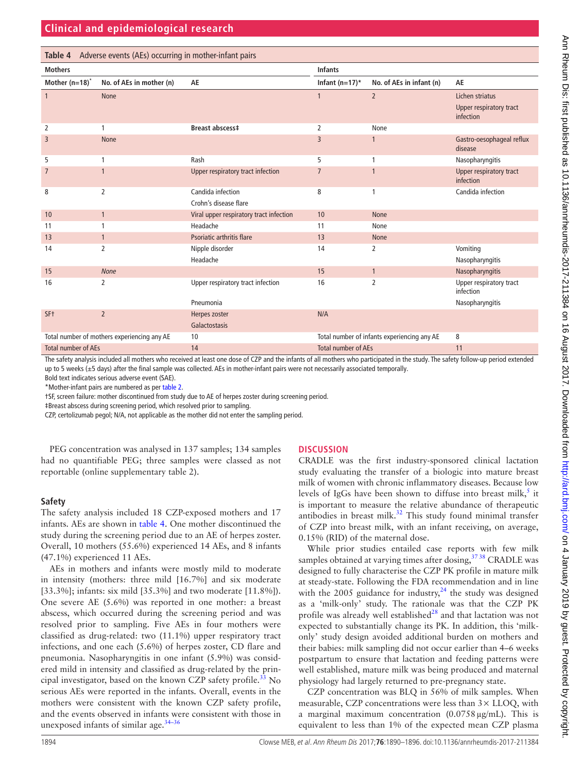<span id="page-4-0"></span>

| Table 4 Adverse events (AEs) occurring in mother-infant pairs |                          |                                         |                                             |                          |                                      |  |
|---------------------------------------------------------------|--------------------------|-----------------------------------------|---------------------------------------------|--------------------------|--------------------------------------|--|
| <b>Mothers</b>                                                |                          |                                         | <b>Infants</b>                              |                          |                                      |  |
| Mother $(n=18)^{n}$                                           | No. of AEs in mother (n) | AE                                      | Infant $(n=17)^*$                           | No. of AEs in infant (n) | AE                                   |  |
|                                                               | None                     |                                         | 1                                           | $\overline{2}$           | Lichen striatus                      |  |
|                                                               |                          |                                         |                                             |                          | Upper respiratory tract<br>infection |  |
| 2                                                             | 1                        | Breast abscess‡                         | 2                                           | None                     |                                      |  |
| 3                                                             | <b>None</b>              |                                         | $\overline{3}$                              | $\mathbf{1}$             | Gastro-oesophageal reflux<br>disease |  |
| 5                                                             |                          | Rash                                    | 5                                           | 1                        | Nasopharyngitis                      |  |
| $\overline{7}$                                                | $\mathbf{1}$             | Upper respiratory tract infection       | $\overline{7}$                              | $\mathbf{1}$             | Upper respiratory tract<br>infection |  |
| 8                                                             | 2                        | Candida infection                       | 8                                           | 1                        | Candida infection                    |  |
|                                                               |                          | Crohn's disease flare                   |                                             |                          |                                      |  |
| 10                                                            | $\mathbf{1}$             | Viral upper respiratory tract infection | 10                                          | <b>None</b>              |                                      |  |
| 11                                                            | 1                        | Headache                                | 11                                          | None                     |                                      |  |
| 13                                                            | $\mathbf{1}$             | Psoriatic arthritis flare               | 13                                          | <b>None</b>              |                                      |  |
| 14                                                            | 2                        | Nipple disorder                         | 14                                          | 2                        | Vomiting                             |  |
|                                                               |                          | Headache                                |                                             |                          | Nasopharyngitis                      |  |
| 15                                                            | <b>None</b>              |                                         | 15                                          | $\mathbf{1}$             | Nasopharyngitis                      |  |
| 16                                                            | 2                        | Upper respiratory tract infection       | 16                                          | 2                        | Upper respiratory tract<br>infection |  |
|                                                               |                          | Pneumonia                               |                                             |                          | Nasopharyngitis                      |  |
| SF <sub>t</sub>                                               | $\overline{2}$           | Herpes zoster                           | N/A                                         |                          |                                      |  |
|                                                               |                          | Galactostasis                           |                                             |                          |                                      |  |
| Total number of mothers experiencing any AE                   |                          | 10                                      | Total number of infants experiencing any AE |                          | 8                                    |  |
| <b>Total number of AEs</b>                                    |                          | 14                                      | <b>Total number of AEs</b>                  |                          | 11                                   |  |

The safety analysis included all mothers who received at least one dose of CZP and the infants of all mothers who participated in the study. The safety follow-up period extended up to 5 weeks (±5 days) after the final sample was collected. AEs in mother-infant pairs were not necessarily associated temporally.

Bold text indicates serious adverse event (SAE).

\*Mother-infant pairs are numbered as per [table 2.](#page-3-0)

†SF, screen failure: mother discontinued from study due to AE of herpes zoster during screening period.

‡Breast abscess during screening period, which resolved prior to sampling.

CZP, certolizumab pegol; N/A, not applicable as the mother did not enter the sampling period.

PEG concentration was analysed in 137 samples; 134 samples had no quantifiable PEG; three samples were classed as not reportable (online [supplementary table 2](https://dx.doi.org/10.1136/annrheumdis-2017-211384)).

# **Safety**

The safety analysis included 18 CZP-exposed mothers and 17 infants. AEs are shown in [table](#page-4-0) 4. One mother discontinued the study during the screening period due to an AE of herpes zoster. Overall, 10 mothers (55.6%) experienced 14 AEs, and 8 infants (47.1%) experienced 11 AEs.

AEs in mothers and infants were mostly mild to moderate in intensity (mothers: three mild [16.7%] and six moderate [33.3%]; infants: six mild [35.3%] and two moderate [11.8%]). One severe AE (5.6%) was reported in one mother: a breast abscess, which occurred during the screening period and was resolved prior to sampling. Five AEs in four mothers were classified as drug-related: two (11.1%) upper respiratory tract infections, and one each (5.6%) of herpes zoster, CD flare and pneumonia. Nasopharyngitis in one infant (5.9%) was considered mild in intensity and classified as drug-related by the principal investigator, based on the known CZP safety profile.<sup>33</sup> No serious AEs were reported in the infants. Overall, events in the mothers were consistent with the known CZP safety profile, and the events observed in infants were consistent with those in unexposed infants of similar age.<sup>34-36</sup>

#### **Discussion**

CRADLE was the first industry-sponsored clinical lactation study evaluating the transfer of a biologic into mature breast milk of women with chronic inflammatory diseases. Because low levels of IgGs have been shown to diffuse into breast milk,<sup>5</sup> it is important to measure the relative abundance of therapeutic antibodies in breast milk[.32](#page-6-16) This study found minimal transfer of CZP into breast milk, with an infant receiving, on average, 0.15% (RID) of the maternal dose.

While prior studies entailed case reports with few milk samples obtained at varying times after dosing, <sup>37 38</sup> CRADLE was designed to fully characterise the CZP PK profile in mature milk at steady-state. Following the FDA recommendation and in line with the 2005 guidance for industry, $24$  the study was designed as a 'milk-only' study. The rationale was that the CZP PK profile was already well established<sup>28</sup> and that lactation was not expected to substantially change its PK. In addition, this 'milkonly' study design avoided additional burden on mothers and their babies: milk sampling did not occur earlier than 4–6 weeks postpartum to ensure that lactation and feeding patterns were well established, mature milk was being produced and maternal physiology had largely returned to pre-pregnancy state.

CZP concentration was BLQ in 56% of milk samples. When measurable, CZP concentrations were less than 3× LLOQ, with a marginal maximum concentration  $(0.0758 \,\mu\text{g/mL})$ . This is equivalent to less than 1% of the expected mean CZP plasma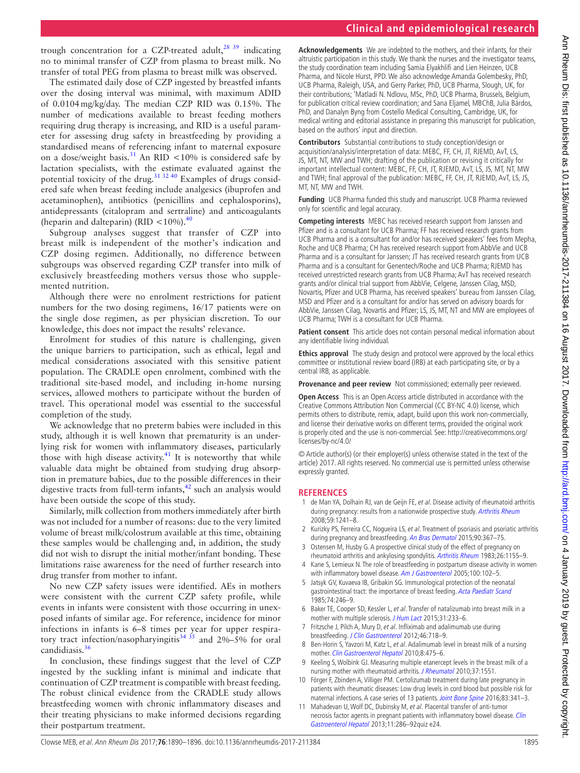#### **Clinical and epidemiological research**

trough concentration for a CZP-treated adult, $^{28}$  39 indicating no to minimal transfer of CZP from plasma to breast milk. No transfer of total PEG from plasma to breast milk was observed.

The estimated daily dose of CZP ingested by breastfed infants over the dosing interval was minimal, with maximum ADID of 0.0104mg/kg/day. The median CZP RID was 0.15%. The number of medications available to breast feeding mothers requiring drug therapy is increasing, and RID is a useful parameter for assessing drug safety in breastfeeding by providing a standardised means of referencing infant to maternal exposure on a dose/weight basis.<sup>31</sup> An RID <10% is considered safe by lactation specialists, with the estimate evaluated against the potential toxicity of the drug.<sup>31 32 40</sup> Examples of drugs considered safe when breast feeding include analgesics (ibuprofen and acetaminophen), antibiotics (penicillins and cephalosporins), antidepressants (citalopram and sertraline) and anticoagulants (heparin and dalteparin) (RID  $\lt$ 10%).<sup>40</sup>

Subgroup analyses suggest that transfer of CZP into breast milk is independent of the mother's indication and CZP dosing regimen. Additionally, no difference between subgroups was observed regarding CZP transfer into milk of exclusively breastfeeding mothers versus those who supplemented nutrition.

Although there were no enrolment restrictions for patient numbers for the two dosing regimens, 16/17 patients were on the single dose regimen, as per physician discretion. To our knowledge, this does not impact the results' relevance.

Enrolment for studies of this nature is challenging, given the unique barriers to participation, such as ethical, legal and medical considerations associated with this sensitive patient population. The CRADLE open enrolment, combined with the traditional site-based model, and including in-home nursing services, allowed mothers to participate without the burden of travel. This operational model was essential to the successful completion of the study.

We acknowledge that no preterm babies were included in this study, although it is well known that prematurity is an underlying risk for women with inflammatory diseases, particularly those with high disease activity.<sup>41</sup> It is noteworthy that while valuable data might be obtained from studying drug absorption in premature babies, due to the possible differences in their digestive tracts from full-term infants, $42$  such an analysis would have been outside the scope of this study.

Similarly, milk collection from mothers immediately after birth was not included for a number of reasons: due to the very limited volume of breast milk/colostrum available at this time, obtaining these samples would be challenging and, in addition, the study did not wish to disrupt the initial mother/infant bonding. These limitations raise awareness for the need of further research into drug transfer from mother to infant.

No new CZP safety issues were identified. AEs in mothers were consistent with the current CZP safety profile, while events in infants were consistent with those occurring in unexposed infants of similar age. For reference, incidence for minor infections in infants is 6–8 times per year for upper respiratory tract infection/nasopharyingitis<sup>34 35</sup> and 2%–5% for oral candidiasis.<sup>[36](#page-6-24)</sup>

In conclusion, these findings suggest that the level of CZP ingested by the suckling infant is minimal and indicate that continuation of CZP treatment is compatible with breast feeding. The robust clinical evidence from the CRADLE study allows breastfeeding women with chronic inflammatory diseases and their treating physicians to make informed decisions regarding their postpartum treatment.

**Acknowledgements** We are indebted to the mothers, and their infants, for their altruistic participation in this study. We thank the nurses and the investigator teams, the study coordination team including Samia Elyakhlifi and Lien Heinzen, UCB Pharma, and Nicole Hurst, PPD. We also acknowledge Amanda Golembesky, PhD, UCB Pharma, Raleigh, USA, and Gerry Parker, PhD, UCB Pharma, Slough, UK, for their contributions; 'Matladi N. Ndlovu, MSc, PhD, UCB Pharma, Brussels, Belgium, for publication critical review coordination; and Sana Eljamel, MBChB, Julia Bárdos, PhD, and Danalyn Byng from Costello Medical Consulting, Cambridge, UK, for medical writing and editorial assistance in preparing this manuscript for publication, based on the authors' input and direction.

**Contributors** Substantial contributions to study conception/design or acquisition/analysis/interpretation of data: MEBC, FF, CH, JT, RJEMD, AvT, LS, JS, MT, NT, MW and TWH; drafting of the publication or revising it critically for important intellectual content: MEBC, FF, CH, JT, RJEMD, AvT, LS, JS, MT, NT, MW and TWH; final approval of the publication: MEBC, FF, CH, JT, RJEMD, AvT, LS, JS, MT, NT, MW and TWH.

**Funding** UCB Pharma funded this study and manuscript. UCB Pharma reviewed only for scientific and legal accuracy.

**Competing interests** MEBC has received research support from Janssen and Pfizer and is a consultant for UCB Pharma; FF has received research grants from UCB Pharma and is a consultant for and/or has received speakers' fees from Mepha, Roche and UCB Pharma; CH has received research support from AbbVie and UCB Pharma and is a consultant for Janssen; JT has received research grants from UCB Pharma and is a consultant for Genentech/Roche and UCB Pharma; RJEMD has received unrestricted research grants from UCB Pharma; AvT has received research grants and/or clinical trial support from AbbVie, Celgene, Janssen Cilag, MSD, Novartis, Pfizer and UCB Pharma, has received speakers' bureau from Janssen Cilag, MSD and Pfizer and is a consultant for and/or has served on advisory boards for AbbVie, Janssen Cilag, Novartis and Pfizer; LS, JS, MT, NT and MW are employees of UCB Pharma; TWH is a consultant for UCB Pharma.

**Patient consent** This article does not contain personal medical information about any identifiable living individual.

**Ethics approval** The study design and protocol were approved by the local ethics committee or institutional review board (IRB) at each participating site, or by a central IRB, as applicable.

**Provenance and peer review** Not commissioned; externally peer reviewed.

**Open Access** This is an Open Access article distributed in accordance with the Creative Commons Attribution Non Commercial (CC BY-NC 4.0) license, which permits others to distribute, remix, adapt, build upon this work non-commercially, and license their derivative works on different terms, provided the original work is properly cited and the use is non-commercial. See: [http://creativecommons.org/](http://creativecommons.org/licenses/by-nc/4.0/) [licenses/by-nc/4.0/](http://creativecommons.org/licenses/by-nc/4.0/)

© Article author(s) (or their employer(s) unless otherwise stated in the text of the article) 2017. All rights reserved. No commercial use is permitted unless otherwise expressly granted.

#### **References**

- <span id="page-5-0"></span>1 de Man YA, Dolhain RJ, van de Geijn FE, et al. Disease activity of rheumatoid arthritis during pregnancy: results from a nationwide prospective study. [Arthritis Rheum](http://dx.doi.org/10.1002/art.24003) 2008;59:1241–8.
- 2 Kurizky PS, Ferreira CC, Nogueira LS, et al. Treatment of psoriasis and psoriatic arthritis during pregnancy and breastfeeding. [An Bras Dermatol](http://dx.doi.org/10.1590/abd1806-4841.20153113) 2015;90:367-75.
- 3 Ostensen M, Husby G. A prospective clinical study of the effect of pregnancy on rheumatoid arthritis and ankylosing spondylitis. [Arthritis Rheum](http://dx.doi.org/10.1002/art.1780260915) 1983;26:1155-9.
- 4 Kane S, Lemieux N. The role of breastfeeding in postpartum disease activity in women with inflammatory bowel disease. [Am J Gastroenterol](http://dx.doi.org/10.1111/j.1572-0241.2005.40785.x) 2005;100:102-5.
- <span id="page-5-1"></span>5 Jatsyk GV, Kuvaeva IB, Gribakin SG. Immunological protection of the neonatal gastrointestinal tract: the importance of breast feeding. [Acta Paediatr Scand](http://dx.doi.org/10.1111/j.1651-2227.1985.tb10958.x) 1985;74:246–9.
- 6 Baker TE, Cooper SD, Kessler L, et al. Transfer of natalizumab into breast milk in a mother with multiple sclerosis. [J Hum Lact](http://dx.doi.org/10.1177/0890334414566237) 2015;31:233-6.
- <span id="page-5-2"></span>7 Fritzsche J, Pilch A, Mury D, et al. Infliximab and adalimumab use during breastfeeding. [J Clin Gastroenterol](http://dx.doi.org/10.1097/MCG.0b013e31825f2807) 2012;46:718–9.
- 8 Ben-Horin S, Yavzori M, Katz L, et al. Adalimumab level in breast milk of a nursing mother. [Clin Gastroenterol Hepatol](http://dx.doi.org/10.1016/j.cgh.2009.11.023) 2010;8:475–6.
- <span id="page-5-3"></span>9 Keeling S, Wolbink GJ. Measuring multiple etanercept levels in the breast milk of a nursing mother with rheumatoid arthritis. [J Rheumatol](http://dx.doi.org/10.3899/jrheum.100077) 2010;37:1551.
- <span id="page-5-4"></span>10 Förger F, Zbinden A, Villiger PM. Certolizumab treatment during late pregnancy in patients with rheumatic diseases: Low drug levels in cord blood but possible risk for maternal infections. A case series of 13 patients. [Joint Bone Spine](http://dx.doi.org/10.1016/j.jbspin.2015.07.004) 2016;83:341-3.
- <span id="page-5-5"></span>11 Mahadevan U, Wolf DC, Dubinsky M, et al. Placental transfer of anti-tumor necrosis factor agents in pregnant patients with inflammatory bowel disease. Clin [Gastroenterol Hepatol](http://dx.doi.org/10.1016/j.cgh.2012.11.011) 2013;11:286–92quiz e24.